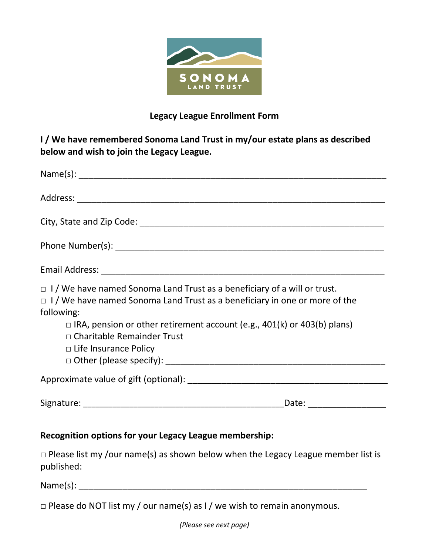

## **Legacy League Enrollment Form**

**I / We have remembered Sonoma Land Trust in my/our estate plans as described below and wish to join the Legacy League.**

| $\Box$ I/We have named Sonoma Land Trust as a beneficiary of a will or trust.<br>$\Box$ I/We have named Sonoma Land Trust as a beneficiary in one or more of the<br>following:<br>$\Box$ IRA, pension or other retirement account (e.g., 401(k) or 403(b) plans)<br>$\Box$ Charitable Remainder Trust<br>$\Box$ Life Insurance Policy |  |
|---------------------------------------------------------------------------------------------------------------------------------------------------------------------------------------------------------------------------------------------------------------------------------------------------------------------------------------|--|
|                                                                                                                                                                                                                                                                                                                                       |  |
| Signature: The Commission of the Commission of the Commission of the Commission of the Commission of the Commission                                                                                                                                                                                                                   |  |

## **Recognition options for your Legacy League membership:**

 $\square$  Please list my /our name(s) as shown below when the Legacy League member list is published:

Name(s): \_\_\_\_\_\_\_\_\_\_\_\_\_\_\_\_\_\_\_\_\_\_\_\_\_\_\_\_\_\_\_\_\_\_\_\_\_\_\_\_\_\_\_\_\_\_\_\_\_\_\_\_\_\_\_\_\_\_\_

 $\Box$  Please do NOT list my / our name(s) as I / we wish to remain anonymous.